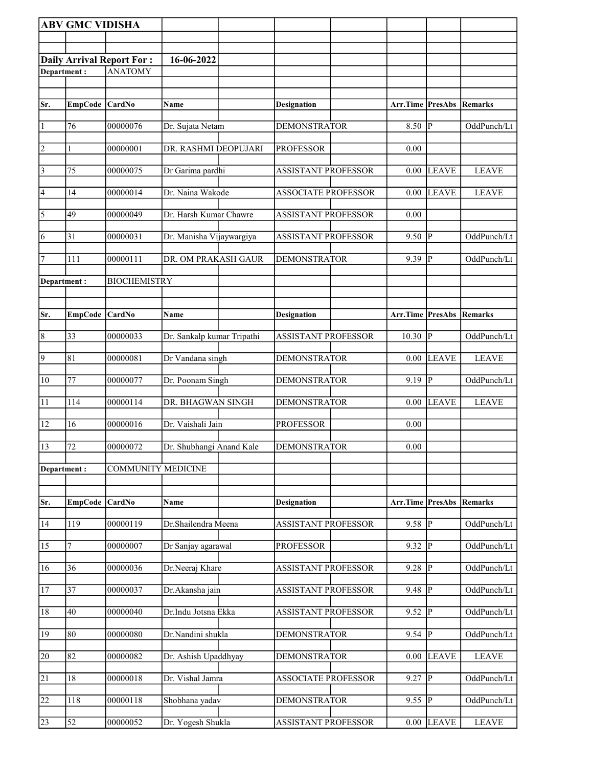|                 | <b>ABV GMC VIDISHA</b> |                                  |                            |                            |                  |                         |              |
|-----------------|------------------------|----------------------------------|----------------------------|----------------------------|------------------|-------------------------|--------------|
|                 |                        |                                  |                            |                            |                  |                         |              |
|                 |                        | <b>Daily Arrival Report For:</b> | 16-06-2022                 |                            |                  |                         |              |
| Department:     |                        | <b>ANATOMY</b>                   |                            |                            |                  |                         |              |
|                 |                        |                                  |                            |                            |                  |                         |              |
| Sr.             | <b>EmpCode</b>         | <b>CardNo</b>                    | Name                       | <b>Designation</b>         | Arr.Time PresAbs |                         | Remarks      |
|                 |                        |                                  |                            |                            |                  |                         |              |
| $\vert$ 1       | 76                     | 00000076                         | Dr. Sujata Netam           | <b>DEMONSTRATOR</b>        | 8.50 P           |                         | OddPunch/Lt  |
| $\overline{2}$  | 1                      | 00000001                         | DR. RASHMI DEOPUJARI       | <b>PROFESSOR</b>           | 0.00             |                         |              |
| $\vert$ 3       | 75                     |                                  |                            | <b>ASSISTANT PROFESSOR</b> |                  | $0.00$ LEAVE            | <b>LEAVE</b> |
|                 |                        | 00000075                         | Dr Garima pardhi           |                            |                  |                         |              |
| 4               | 14                     | 00000014                         | Dr. Naina Wakode           | <b>ASSOCIATE PROFESSOR</b> | 0.00             | <b>LEAVE</b>            | <b>LEAVE</b> |
| $\overline{5}$  | 49                     | 00000049                         | Dr. Harsh Kumar Chawre     | <b>ASSISTANT PROFESSOR</b> | 0.00             |                         |              |
|                 |                        |                                  |                            |                            |                  |                         |              |
| 6               | 31                     | 00000031                         | Dr. Manisha Vijaywargiya   | <b>ASSISTANT PROFESSOR</b> | 9.50             | <sup> </sup> P          | OddPunch/Lt  |
| 7               | 111                    | 00000111                         | DR. OM PRAKASH GAUR        | <b>DEMONSTRATOR</b>        | 9.39   P         |                         | OddPunch/Lt  |
| Department:     |                        | <b>BIOCHEMISTRY</b>              |                            |                            |                  |                         |              |
|                 |                        |                                  |                            |                            |                  |                         |              |
| Sr.             | <b>EmpCode</b>         | CardNo                           | Name                       | <b>Designation</b>         | Arr.Time PresAbs |                         | Remarks      |
|                 |                        |                                  |                            |                            |                  |                         |              |
| $\vert 8$       | 33                     | 00000033                         | Dr. Sankalp kumar Tripathi | <b>ASSISTANT PROFESSOR</b> | $10.30$ P        |                         | OddPunch/Lt  |
| $\overline{9}$  | 81                     | 00000081                         | Dr Vandana singh           | <b>DEMONSTRATOR</b>        | 0.00             | <b>LEAVE</b>            | <b>LEAVE</b> |
| $ 10\rangle$    | 77                     | 00000077                         | Dr. Poonam Singh           | <b>DEMONSTRATOR</b>        | $9.19$ P         |                         | OddPunch/Lt  |
|                 |                        |                                  |                            |                            |                  |                         |              |
| 11              | 114                    | 00000114                         | DR. BHAGWAN SINGH          | <b>DEMONSTRATOR</b>        | 0.00             | <b>LEAVE</b>            | <b>LEAVE</b> |
| 12              | 16                     | 00000016                         | Dr. Vaishali Jain          | <b>PROFESSOR</b>           | 0.00             |                         |              |
|                 |                        |                                  |                            |                            |                  |                         |              |
| 13              | 72                     | 00000072                         | Dr. Shubhangi Anand Kale   | <b>DEMONSTRATOR</b>        | 0.00             |                         |              |
| Department:     |                        | <b>COMMUNITY MEDICINE</b>        |                            |                            |                  |                         |              |
|                 |                        |                                  |                            |                            |                  |                         |              |
| Sr.             | <b>EmpCode</b>         | CardNo                           | Name                       | <b>Designation</b>         | Arr.Time PresAbs |                         | Remarks      |
| 14              | 119                    | 00000119                         | Dr.Shailendra Meena        | <b>ASSISTANT PROFESSOR</b> | 9.58             | P                       | OddPunch/Lt  |
|                 |                        |                                  |                            |                            |                  |                         |              |
| $\overline{15}$ | 7                      | 00000007                         | Dr Sanjay agarawal         | <b>PROFESSOR</b>           | 9.32             | $\overline{\mathbb{P}}$ | OddPunch/Lt  |
| 16              | 36                     | 00000036                         | Dr.Neeraj Khare            | <b>ASSISTANT PROFESSOR</b> | 9.28             | P                       | OddPunch/Lt  |
| 17              | 37                     | 00000037                         | Dr.Akansha jain            | <b>ASSISTANT PROFESSOR</b> | 9.48             | P                       | OddPunch/Lt  |
|                 |                        |                                  |                            |                            |                  |                         |              |
| 18              | 40                     | 00000040                         | Dr.Indu Jotsna Ekka        | ASSISTANT PROFESSOR        | 9.52             | P                       | OddPunch/Lt  |
| 19              | 80                     | 00000080                         | Dr.Nandini shukla          | <b>DEMONSTRATOR</b>        | 9.54             | P                       | OddPunch/Lt  |
| $\overline{20}$ | 82                     | 00000082                         | Dr. Ashish Upaddhyay       | <b>DEMONSTRATOR</b>        | 0.00             | LEAVE                   | <b>LEAVE</b> |
|                 |                        |                                  |                            |                            |                  |                         |              |
| 21              | 18                     | 00000018                         | Dr. Vishal Jamra           | <b>ASSOCIATE PROFESSOR</b> | 9.27             | $\overline{\mathbb{P}}$ | OddPunch/Lt  |
| $\overline{22}$ | 118                    | 00000118                         | Shobhana yadav             | <b>DEMONSTRATOR</b>        | 9.55             | P                       | OddPunch/Lt  |
|                 |                        |                                  |                            |                            |                  |                         |              |
| 23              | 52                     | 00000052                         | Dr. Yogesh Shukla          | <b>ASSISTANT PROFESSOR</b> |                  | $0.00$ LEAVE            | <b>LEAVE</b> |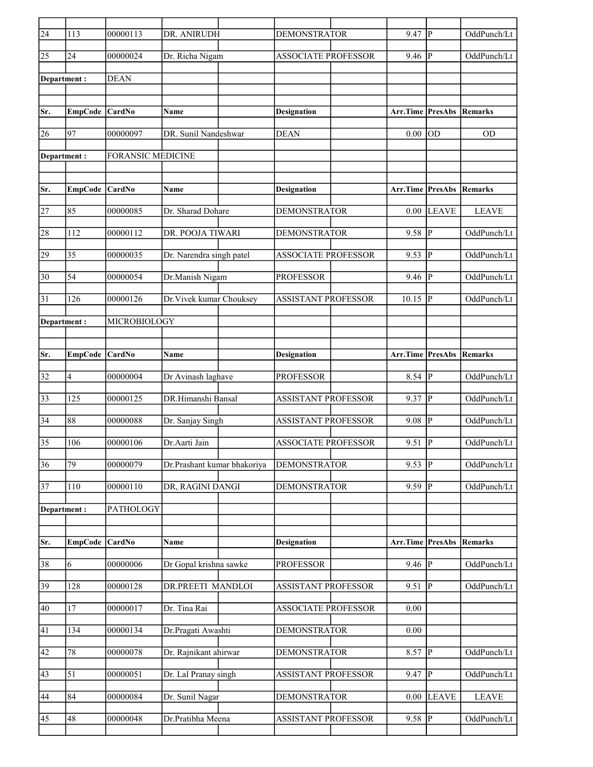| $\overline{24}$ | 113             | 00000113                 | DR. ANIRUDH                 | <b>DEMONSTRATOR</b>        | 9.47                      | lР                      | OddPunch/Lt    |
|-----------------|-----------------|--------------------------|-----------------------------|----------------------------|---------------------------|-------------------------|----------------|
| 25              | 24              | 00000024                 | Dr. Richa Nigam             | <b>ASSOCIATE PROFESSOR</b> | 9.46                      | P                       | OddPunch/Lt    |
|                 | Department:     | <b>DEAN</b>              |                             |                            |                           |                         |                |
|                 |                 |                          |                             |                            |                           |                         |                |
| Sr.             | <b>EmpCode</b>  | CardNo                   | Name                        | <b>Designation</b>         | Arr.Time PresAbs          |                         | Remarks        |
| 26              | 97              | 00000097                 | DR. Sunil Nandeshwar        | <b>DEAN</b>                | 0.00                      | OD                      | <b>OD</b>      |
|                 | Department :    | <b>FORANSIC MEDICINE</b> |                             |                            |                           |                         |                |
|                 |                 |                          |                             |                            |                           |                         |                |
| Sr.             | <b>EmpCode</b>  | CardNo                   | Name                        | <b>Designation</b>         | <b>Arr.Time   PresAbs</b> |                         | Remarks        |
| 27              | 85              | 00000085                 | Dr. Sharad Dohare           | <b>DEMONSTRATOR</b>        | 0.00                      | <b>LEAVE</b>            | <b>LEAVE</b>   |
| 28              | 112             | 00000112                 | DR. POOJA TIWARI            | <b>DEMONSTRATOR</b>        | 9.58                      | lР                      | OddPunch/Lt    |
| 29              | 35              | 00000035                 | Dr. Narendra singh patel    | <b>ASSOCIATE PROFESSOR</b> | 9.53                      | P                       | OddPunch/Lt    |
| 30              | 54              | 00000054                 | Dr.Manish Nigam             | <b>PROFESSOR</b>           | 9.46                      | $\overline{P}$          | OddPunch/Lt    |
| 31              | 126             | 00000126                 | Dr. Vivek kumar Chouksey    | <b>ASSISTANT PROFESSOR</b> | 10.15                     | P                       | OddPunch/Lt    |
| Department :    |                 | MICROBIOLOGY             |                             |                            |                           |                         |                |
|                 |                 |                          |                             |                            |                           |                         |                |
| Sr.             | <b>EmpCode</b>  | CardNo                   | Name                        | <b>Designation</b>         | Arr.Time PresAbs          |                         | Remarks        |
| 32              | 4               | 00000004                 | Dr Avinash laghave          | <b>PROFESSOR</b>           | $8.54$ P                  |                         | OddPunch/Lt    |
| $\overline{33}$ | 125             | 00000125                 | DR.Himanshi Bansal          | <b>ASSISTANT PROFESSOR</b> | $9.37$ P                  |                         | OddPunch/Lt    |
| 34              | 88              | 00000088                 | Dr. Sanjay Singh            | <b>ASSISTANT PROFESSOR</b> | 9.08                      | $ {\bf p} $             | OddPunch/Lt    |
| $\overline{35}$ | 106             | 00000106                 | Dr.Aarti Jain               | <b>ASSOCIATE PROFESSOR</b> | 9.51                      | $\overline{P}$          | OddPunch/Lt    |
| $\overline{36}$ | $\overline{79}$ | 00000079                 | Dr.Prashant kumar bhakoriya | <b>DEMONSTRATOR</b>        | 9.53                      | $\overline{P}$          | OddPunch/Lt    |
| $\overline{37}$ | 110             | 00000110                 | DR, RAGINI DANGI            | <b>DEMONSTRATOR</b>        | $9.59$ P                  |                         | OddPunch/Lt    |
|                 | Department:     | PATHOLOGY                |                             |                            |                           |                         |                |
|                 |                 |                          |                             |                            |                           |                         |                |
| Sr.             | <b>EmpCode</b>  | CardNo                   | Name                        | <b>Designation</b>         | Arr.Time PresAbs          |                         | <b>Remarks</b> |
| 38              | 6               | 00000006                 | Dr Gopal krishna sawke      | <b>PROFESSOR</b>           | $9.46$ P                  |                         | OddPunch/Lt    |
| 39              | 128             | 00000128                 | DR.PREETI MANDLOI           | <b>ASSISTANT PROFESSOR</b> | 9.51                      | P                       | OddPunch/Lt    |
| 40              | $17$            | 00000017                 | Dr. Tina Rai                | <b>ASSOCIATE PROFESSOR</b> | $0.00\,$                  |                         |                |
| 41              | 134             | 00000134                 | Dr.Pragati Awashti          | <b>DEMONSTRATOR</b>        | 0.00                      |                         |                |
| 42              | 78              | 00000078                 | Dr. Rajnikant ahirwar       | <b>DEMONSTRATOR</b>        | 8.57                      | ₽                       | OddPunch/Lt    |
| 43              | 51              | 00000051                 | Dr. Lal Pranay singh        | ASSISTANT PROFESSOR        | 9.47                      | $\overline{\mathbb{P}}$ | OddPunch/Lt    |
| 44              | 84              | 00000084                 | Dr. Sunil Nagar             | <b>DEMONSTRATOR</b>        | 0.00                      | <b>LEAVE</b>            | <b>LEAVE</b>   |
| 45              | 48              | 00000048                 | Dr.Pratibha Meena           | <b>ASSISTANT PROFESSOR</b> | $9.58$ P                  |                         | OddPunch/Lt    |
|                 |                 |                          |                             |                            |                           |                         |                |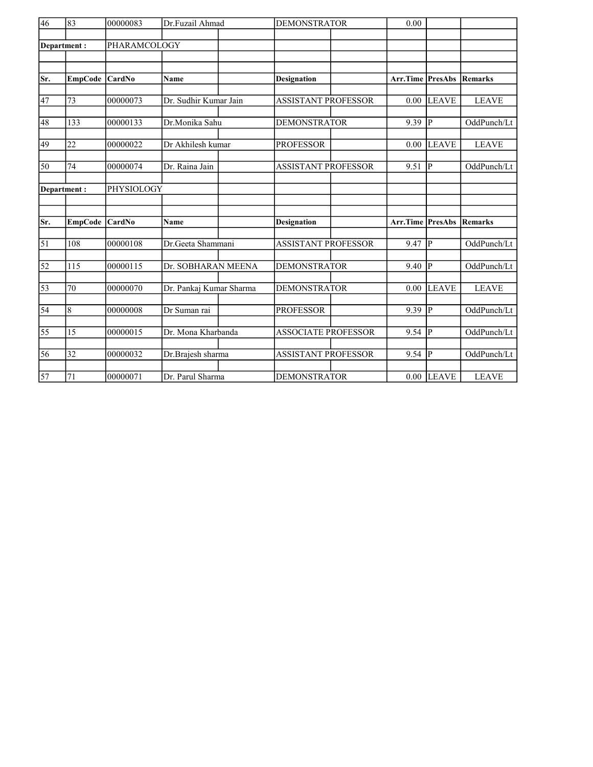| 46              | 83              | 00000083      | Dr.Fuzail Ahmad         | <b>DEMONSTRATOR</b>        | 0.00                    |              |                |
|-----------------|-----------------|---------------|-------------------------|----------------------------|-------------------------|--------------|----------------|
|                 | Department:     | PHARAMCOLOGY  |                         |                            |                         |              |                |
|                 |                 |               |                         |                            |                         |              |                |
|                 |                 |               |                         |                            |                         |              |                |
| Sr.             | <b>EmpCode</b>  | <b>CardNo</b> | <b>Name</b>             | <b>Designation</b>         | <b>Arr.Time PresAbs</b> |              | Remarks        |
|                 |                 |               |                         |                            |                         |              |                |
| 47              | 73              | 00000073      | Dr. Sudhir Kumar Jain   | <b>ASSISTANT PROFESSOR</b> | 0.00                    | <b>LEAVE</b> | <b>LEAVE</b>   |
| 48              | 133             | 00000133      | Dr.Monika Sahu          | <b>DEMONSTRATOR</b>        | 9.39                    | P            | OddPunch/Lt    |
|                 |                 |               |                         |                            |                         |              |                |
| 49              | $\overline{22}$ | 00000022      | Dr Akhilesh kumar       | <b>PROFESSOR</b>           | 0.00                    | <b>LEAVE</b> | <b>LEAVE</b>   |
| 50              | 74              | 00000074      | Dr. Raina Jain          | <b>ASSISTANT PROFESSOR</b> | 9.51                    | P            | OddPunch/Lt    |
|                 |                 |               |                         |                            |                         |              |                |
|                 | Department:     | PHYSIOLOGY    |                         |                            |                         |              |                |
|                 |                 |               |                         |                            |                         |              |                |
|                 |                 |               |                         |                            |                         |              |                |
| Sr.             | <b>EmpCode</b>  | CardNo        | <b>Name</b>             | <b>Designation</b>         | Arr.Time                | PresAbs      | <b>Remarks</b> |
| $\overline{51}$ | 108             | 00000108      | Dr.Geeta Shammani       | <b>ASSISTANT PROFESSOR</b> | 9.47                    | p            | OddPunch/Lt    |
|                 |                 |               |                         |                            |                         |              |                |
| 52              | 115             | 00000115      | Dr. SOBHARAN MEENA      | <b>DEMONSTRATOR</b>        | 9.40                    | p            | OddPunch/Lt    |
| $\overline{53}$ | 70              | 00000070      | Dr. Pankaj Kumar Sharma | <b>DEMONSTRATOR</b>        | 0.00                    | <b>LEAVE</b> | <b>LEAVE</b>   |
|                 |                 |               |                         |                            |                         |              |                |
| $\overline{54}$ | $\,$ 8 $\,$     | 00000008      | Dr Suman rai            | <b>PROFESSOR</b>           | 9.39                    | P            | OddPunch/Lt    |
|                 |                 |               |                         |                            |                         |              |                |
| 55              | 15              | 00000015      | Dr. Mona Kharbanda      | <b>ASSOCIATE PROFESSOR</b> | $9.54$ P                |              | OddPunch/Lt    |
| 56              | 32              | 00000032      | Dr.Brajesh sharma       | <b>ASSISTANT PROFESSOR</b> | 9.54 $ P $              |              | OddPunch/Lt    |
|                 |                 |               |                         |                            |                         |              |                |
| 57              | 71              | 00000071      | Dr. Parul Sharma        | <b>DEMONSTRATOR</b>        |                         | $0.00$ LEAVE | <b>LEAVE</b>   |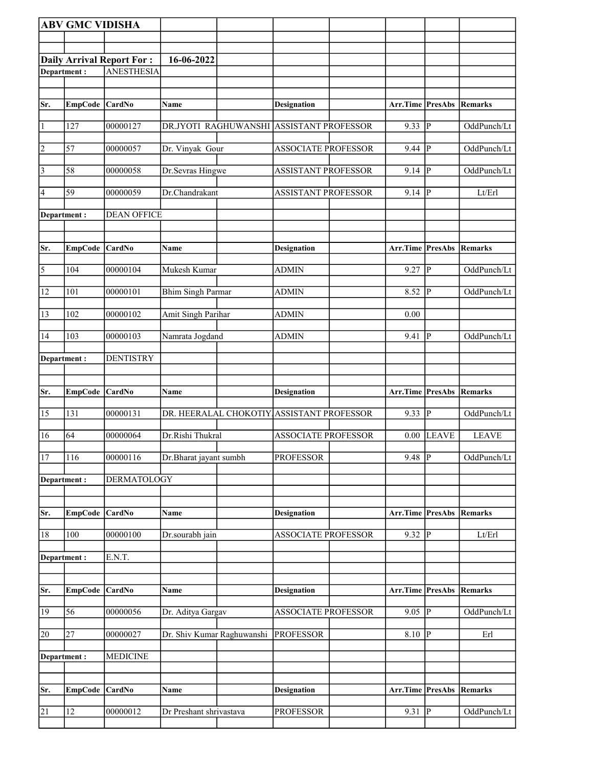|                | <b>ABV GMC VIDISHA</b> |                                  |                                           |                            |                         |                |                |
|----------------|------------------------|----------------------------------|-------------------------------------------|----------------------------|-------------------------|----------------|----------------|
|                |                        |                                  |                                           |                            |                         |                |                |
|                |                        | <b>Daily Arrival Report For:</b> | 16-06-2022                                |                            |                         |                |                |
|                | Department:            | <b>ANESTHESIA</b>                |                                           |                            |                         |                |                |
|                |                        |                                  |                                           |                            |                         |                |                |
| Sr.            | EmpCode CardNo         |                                  | Name                                      | <b>Designation</b>         | <b>Arr.Time PresAbs</b> |                | Remarks        |
|                |                        |                                  |                                           |                            |                         |                |                |
| $\vert$ 1      | 127                    | 00000127                         | DR.JYOTI RAGHUWANSHI ASSISTANT PROFESSOR  |                            | 9.33                    | lР             | OddPunch/Lt    |
| $\overline{2}$ | 57                     | 00000057                         | Dr. Vinyak Gour                           | <b>ASSOCIATE PROFESSOR</b> | 9.44                    | lP.            | OddPunch/Lt    |
| $\overline{3}$ | 58                     | 00000058                         | Dr.Sevras Hingwe                          | <b>ASSISTANT PROFESSOR</b> | 9.14 $ P $              |                | OddPunch/Lt    |
| 4              | 59                     | 00000059                         | Dr.Chandrakant                            | <b>ASSISTANT PROFESSOR</b> | $9.14$ $\overline{P}$   |                | Lt/Erl         |
|                | Department :           | <b>DEAN OFFICE</b>               |                                           |                            |                         |                |                |
|                |                        |                                  |                                           |                            |                         |                |                |
| Sr.            | <b>EmpCode</b>         | CardNo                           | Name                                      | Designation                | Arr.Time PresAbs        |                | Remarks        |
| $\sqrt{5}$     | 104                    | 00000104                         | Mukesh Kumar                              | <b>ADMIN</b>               | $9.27$ P                |                | OddPunch/Lt    |
| 12             | 101                    | 00000101                         | <b>Bhim Singh Parmar</b>                  | <b>ADMIN</b>               | 8.52                    | p              | OddPunch/Lt    |
|                |                        |                                  |                                           |                            |                         |                |                |
| 13             | 102                    | 00000102                         | Amit Singh Parihar                        | <b>ADMIN</b>               | 0.00                    |                |                |
| 14             | 103                    | 00000103                         | Namrata Jogdand                           | <b>ADMIN</b>               | 9.41                    | P              | OddPunch/Lt    |
|                | Department :           | <b>DENTISTRY</b>                 |                                           |                            |                         |                |                |
|                |                        |                                  |                                           |                            |                         |                |                |
|                |                        |                                  |                                           |                            |                         |                |                |
| Sr.            | <b>EmpCode</b>         | CardNo                           | Name                                      | <b>Designation</b>         | <b>Arr.Time PresAbs</b> |                | <b>Remarks</b> |
| 15             | 131                    | 00000131                         | DR. HEERALAL CHOKOTIY ASSISTANT PROFESSOR |                            | 9.33                    | p              | OddPunch/Lt    |
| 16             | 64                     | 00000064                         | Dr.Rishi Thukral                          | <b>ASSOCIATE PROFESSOR</b> | 0.00                    | <b>LEAVE</b>   | <b>LEAVE</b>   |
| 17             | 116                    | 00000116                         | Dr.Bharat jayant sumbh                    | <b>PROFESSOR</b>           | $9.48$ P                |                | OddPunch/Lt    |
|                | Department:            | <b>DERMATOLOGY</b>               |                                           |                            |                         |                |                |
|                |                        |                                  |                                           |                            |                         |                |                |
| Sr.            | <b>EmpCode</b>         | CardNo                           | Name                                      | <b>Designation</b>         | Arr.Time PresAbs        |                | <b>Remarks</b> |
| 18             | $\overline{1}00$       | 00000100                         | Dr.sourabh jain                           | ASSOCIATE PROFESSOR        | 9.32                    | $\overline{P}$ | Lt/Erl         |
|                |                        |                                  |                                           |                            |                         |                |                |
|                | Department:            | E.N.T.                           |                                           |                            |                         |                |                |
|                |                        |                                  |                                           |                            |                         |                |                |
| Sr.            | <b>EmpCode</b>         | CardNo                           | Name                                      | <b>Designation</b>         | Arr.Time PresAbs        |                | Remarks        |
| 19             | 56                     | 00000056                         | Dr. Aditya Gargav                         | ASSOCIATE PROFESSOR        | $9.05 \vert P$          |                | OddPunch/Lt    |
| 20             | $\overline{27}$        | 00000027                         | Dr. Shiv Kumar Raghuwanshi                | <b>PROFESSOR</b>           | $8.10$ P                |                | Erl            |
|                | Department:            | <b>MEDICINE</b>                  |                                           |                            |                         |                |                |
|                |                        |                                  |                                           |                            |                         |                |                |
| Sr.            | <b>EmpCode</b>         | CardNo                           | Name                                      | <b>Designation</b>         | Arr.Time PresAbs        |                | <b>Remarks</b> |
| 21             | 12                     | 00000012                         | Dr Preshant shrivastava                   | <b>PROFESSOR</b>           | $9.31$ P                |                | OddPunch/Lt    |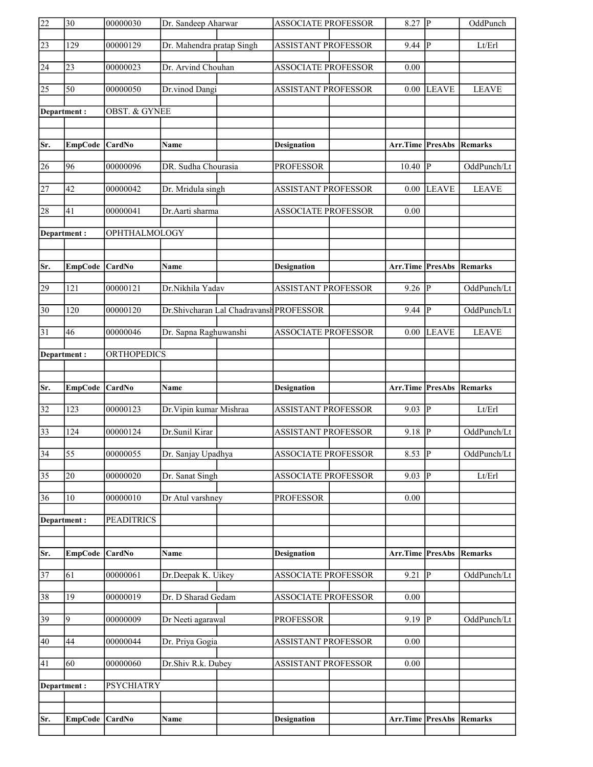| 22              | $\overline{30}$ | 00000030                 | Dr. Sandeep Aharwar                     | <b>ASSOCIATE PROFESSOR</b> | $8.27$ P                |                | OddPunch       |
|-----------------|-----------------|--------------------------|-----------------------------------------|----------------------------|-------------------------|----------------|----------------|
| $\overline{23}$ | 129             | 00000129                 | Dr. Mahendra pratap Singh               | <b>ASSISTANT PROFESSOR</b> | 9.44                    | lР             | Lt/Erl         |
| 24              | $\overline{23}$ | 00000023                 | Dr. Arvind Chouhan                      | ASSOCIATE PROFESSOR        | 0.00                    |                |                |
| $\overline{25}$ | $\overline{50}$ | 00000050                 | Dr.vinod Dangi                          | <b>ASSISTANT PROFESSOR</b> |                         | $0.00$ LEAVE   | <b>LEAVE</b>   |
|                 | Department:     | <b>OBST. &amp; GYNEE</b> |                                         |                            |                         |                |                |
|                 |                 |                          |                                         |                            |                         |                |                |
| Sr.             | <b>EmpCode</b>  | CardNo                   | Name                                    | <b>Designation</b>         | <b>Arr.Time PresAbs</b> |                | <b>Remarks</b> |
| 26              | 96              | 00000096                 | DR. Sudha Chourasia                     | <b>PROFESSOR</b>           | 10.40                   | ₽              | OddPunch/Lt    |
| $\overline{27}$ | 42              | 00000042                 | Dr. Mridula singh                       | <b>ASSISTANT PROFESSOR</b> | 0.00                    | <b>LEAVE</b>   | <b>LEAVE</b>   |
| 28              | 41              | 00000041                 | Dr.Aarti sharma                         | <b>ASSOCIATE PROFESSOR</b> | 0.00                    |                |                |
|                 | Department:     | OPHTHALMOLOGY            |                                         |                            |                         |                |                |
|                 |                 |                          |                                         |                            |                         |                |                |
| Sr.             | <b>EmpCode</b>  | CardNo                   | Name                                    | <b>Designation</b>         | Arr.Time PresAbs        |                | Remarks        |
| 29              | 121             | 00000121                 | Dr.Nikhila Yadav                        | <b>ASSISTANT PROFESSOR</b> | 9.26                    | lР             | OddPunch/Lt    |
| $\overline{30}$ | 120             | 00000120                 | Dr.Shivcharan Lal Chadravansh PROFESSOR |                            | 9.44                    | P              | OddPunch/Lt    |
| 31              | 46              | 00000046                 | Dr. Sapna Raghuwanshi                   | <b>ASSOCIATE PROFESSOR</b> | 0.00                    | <b>LEAVE</b>   | <b>LEAVE</b>   |
|                 | Department:     | <b>ORTHOPEDICS</b>       |                                         |                            |                         |                |                |
|                 |                 |                          |                                         |                            |                         |                |                |
|                 |                 |                          |                                         |                            |                         |                |                |
| Sr.             | <b>EmpCode</b>  | <b>CardNo</b>            | Name                                    | <b>Designation</b>         | <b>Arr.Time PresAbs</b> |                | <b>Remarks</b> |
| $\overline{32}$ | 123             | 00000123                 | Dr. Vipin kumar Mishraa                 | ASSISTANT PROFESSOR        | 9.03   P                |                | Lt/Erl         |
| $\overline{33}$ | 124             | 00000124                 | Dr.Sunil Kirar                          | <b>ASSISTANT PROFESSOR</b> | $9.18 \overline{P}$     |                | OddPunch/Lt    |
| $\overline{34}$ | $\overline{55}$ | 00000055                 | Dr. Sanjay Upadhya                      | <b>ASSOCIATE PROFESSOR</b> | $8.53$ P                |                | OddPunch/Lt    |
| $\overline{35}$ | 20              | 00000020                 | Dr. Sanat Singh                         | <b>ASSOCIATE PROFESSOR</b> | 9.03                    | lP.            | Lt/Erl         |
| 36              | 10              | 00000010                 | Dr Atul varshney                        | <b>PROFESSOR</b>           | 0.00                    |                |                |
|                 | Department:     | <b>PEADITRICS</b>        |                                         |                            |                         |                |                |
|                 |                 |                          |                                         |                            |                         |                |                |
| Sr.             | <b>EmpCode</b>  | CardNo                   | Name                                    | <b>Designation</b>         | Arr.Time                | <b>PresAbs</b> | Remarks        |
| $\overline{37}$ | 61              | 00000061                 | Dr.Deepak K. Uikey                      | ASSOCIATE PROFESSOR        | 9.21                    | $ {\bf P} $    | OddPunch/Lt    |
| 38              | 19              | 00000019                 | Dr. D Sharad Gedam                      | <b>ASSOCIATE PROFESSOR</b> | 0.00                    |                |                |
| 39              | $\overline{9}$  | 00000009                 | Dr Neeti agarawal                       | <b>PROFESSOR</b>           | $9.19$ $\overline{P}$   |                | OddPunch/Lt    |
| 40              | 44              | 00000044                 | Dr. Priya Gogia                         | <b>ASSISTANT PROFESSOR</b> | 0.00                    |                |                |
| 41              | 60              | 00000060                 | Dr.Shiv R.k. Dubey                      | ASSISTANT PROFESSOR        | 0.00                    |                |                |
|                 | Department :    | <b>PSYCHIATRY</b>        |                                         |                            |                         |                |                |
|                 |                 |                          |                                         |                            |                         |                |                |
| Sr.             | EmpCode         | CardNo                   | Name                                    | <b>Designation</b>         | <b>Arr.Time PresAbs</b> |                | <b>Remarks</b> |